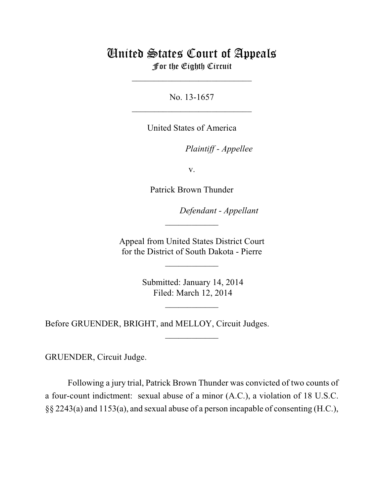# United States Court of Appeals For the Eighth Circuit

\_\_\_\_\_\_\_\_\_\_\_\_\_\_\_\_\_\_\_\_\_\_\_\_\_\_\_

No. 13-1657  $\mathcal{L}_\text{max}$  , which is a set of the set of the set of the set of the set of the set of the set of the set of the set of the set of the set of the set of the set of the set of the set of the set of the set of the set of

United States of America

Plaintiff - Appellee

v.

Patrick Brown Thunder

lllllllllllllllllllll *Defendant - Appellant*

 Appeal from United States District Court for the District of South Dakota - Pierre

 $\overline{\phantom{a}}$  , where  $\overline{\phantom{a}}$ 

 $\frac{1}{2}$ 

 Submitted: January 14, 2014 Filed: March 12, 2014

 $\frac{1}{2}$ 

 $\overline{\phantom{a}}$  , where  $\overline{\phantom{a}}$ 

Before GRUENDER, BRIGHT, and MELLOY, Circuit Judges.

GRUENDER, Circuit Judge.

Following a jury trial, Patrick Brown Thunder was convicted of two counts of a four-count indictment: sexual abuse of a minor (A.C.), a violation of 18 U.S.C. §§ 2243(a) and 1153(a), and sexual abuse of a person incapable of consenting (H.C.),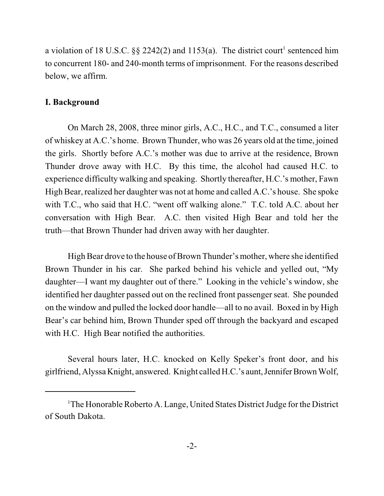a violation of 18 U.S.C.  $\S\S 2242(2)$  and 1153(a). The district court<sup>1</sup> sentenced him to concurrent 180- and 240-month terms of imprisonment. For the reasons described below, we affirm.

#### **I. Background**

On March 28, 2008, three minor girls, A.C., H.C., and T.C., consumed a liter of whiskey at A.C.'s home. Brown Thunder, who was 26 years old at the time, joined the girls. Shortly before A.C.'s mother was due to arrive at the residence, Brown Thunder drove away with H.C. By this time, the alcohol had caused H.C. to experience difficulty walking and speaking. Shortly thereafter, H.C.'s mother, Fawn High Bear, realized her daughter was not at home and called A.C.'s house. She spoke with T.C., who said that H.C. "went off walking alone." T.C. told A.C. about her conversation with High Bear. A.C. then visited High Bear and told her the truth—that Brown Thunder had driven away with her daughter.

High Bear drove to the house of Brown Thunder's mother, where she identified Brown Thunder in his car. She parked behind his vehicle and yelled out, "My daughter—I want my daughter out of there." Looking in the vehicle's window, she identified her daughter passed out on the reclined front passenger seat. She pounded on the window and pulled the locked door handle—all to no avail. Boxed in by High Bear's car behind him, Brown Thunder sped off through the backyard and escaped with H.C. High Bear notified the authorities.

Several hours later, H.C. knocked on Kelly Speker's front door, and his girlfriend, Alyssa Knight, answered. Knight called H.C.'s aunt,Jennifer Brown Wolf,

 $1$ The Honorable Roberto A. Lange, United States District Judge for the District of South Dakota.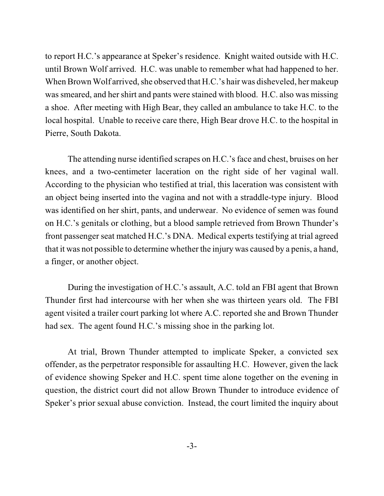to report H.C.'s appearance at Speker's residence. Knight waited outside with H.C. until Brown Wolf arrived. H.C. was unable to remember what had happened to her. When Brown Wolf arrived, she observed that H.C.'s hair was disheveled, her makeup was smeared, and her shirt and pants were stained with blood. H.C. also was missing a shoe. After meeting with High Bear, they called an ambulance to take H.C. to the local hospital. Unable to receive care there, High Bear drove H.C. to the hospital in Pierre, South Dakota.

The attending nurse identified scrapes on H.C.'s face and chest, bruises on her knees, and a two-centimeter laceration on the right side of her vaginal wall. According to the physician who testified at trial, this laceration was consistent with an object being inserted into the vagina and not with a straddle-type injury. Blood was identified on her shirt, pants, and underwear. No evidence of semen was found on H.C.'s genitals or clothing, but a blood sample retrieved from Brown Thunder's front passenger seat matched H.C.'s DNA. Medical experts testifying at trial agreed that it was not possible to determine whether the injury was caused by a penis, a hand, a finger, or another object.

During the investigation of H.C.'s assault, A.C. told an FBI agent that Brown Thunder first had intercourse with her when she was thirteen years old. The FBI agent visited a trailer court parking lot where A.C. reported she and Brown Thunder had sex. The agent found H.C.'s missing shoe in the parking lot.

At trial, Brown Thunder attempted to implicate Speker, a convicted sex offender, as the perpetrator responsible for assaulting H.C. However, given the lack of evidence showing Speker and H.C. spent time alone together on the evening in question, the district court did not allow Brown Thunder to introduce evidence of Speker's prior sexual abuse conviction. Instead, the court limited the inquiry about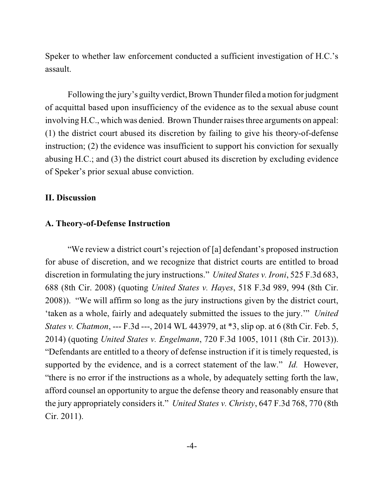Speker to whether law enforcement conducted a sufficient investigation of H.C.'s assault.

Following the jury's guilty verdict, Brown Thunder filed a motion for judgment of acquittal based upon insufficiency of the evidence as to the sexual abuse count involving H.C., which was denied. Brown Thunder raises three arguments on appeal: (1) the district court abused its discretion by failing to give his theory-of-defense instruction; (2) the evidence was insufficient to support his conviction for sexually abusing H.C.; and (3) the district court abused its discretion by excluding evidence of Speker's prior sexual abuse conviction.

## **II. Discussion**

## **A. Theory-of-Defense Instruction**

"We review a district court's rejection of [a] defendant's proposed instruction for abuse of discretion, and we recognize that district courts are entitled to broad discretion in formulating the jury instructions." *United States v. Ironi*, 525 F.3d 683, 688 (8th Cir. 2008) (quoting *United States v. Hayes*, 518 F.3d 989, 994 (8th Cir. 2008)). "We will affirm so long as the jury instructions given by the district court, 'taken as a whole, fairly and adequately submitted the issues to the jury.'" *United States v. Chatmon*, --- F.3d ---, 2014 WL 443979, at \*3, slip op. at 6 (8th Cir. Feb. 5, 2014) (quoting *United States v. Engelmann*, 720 F.3d 1005, 1011 (8th Cir. 2013)). "Defendants are entitled to a theory of defense instruction if it is timely requested, is supported by the evidence, and is a correct statement of the law." *Id.* However, "there is no error if the instructions as a whole, by adequately setting forth the law, afford counsel an opportunity to argue the defense theory and reasonably ensure that the jury appropriately considers it." *United States v. Christy*, 647 F.3d 768, 770 (8th Cir. 2011).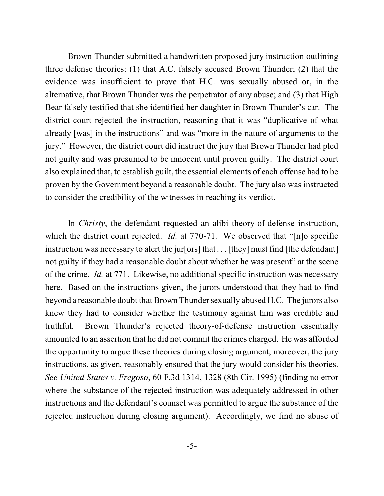Brown Thunder submitted a handwritten proposed jury instruction outlining three defense theories: (1) that A.C. falsely accused Brown Thunder; (2) that the evidence was insufficient to prove that H.C. was sexually abused or, in the alternative, that Brown Thunder was the perpetrator of any abuse; and (3) that High Bear falsely testified that she identified her daughter in Brown Thunder's car. The district court rejected the instruction, reasoning that it was "duplicative of what already [was] in the instructions" and was "more in the nature of arguments to the jury." However, the district court did instruct the jury that Brown Thunder had pled not guilty and was presumed to be innocent until proven guilty. The district court also explained that, to establish guilt, the essential elements of each offense had to be proven by the Government beyond a reasonable doubt. The jury also was instructed to consider the credibility of the witnesses in reaching its verdict.

In *Christy*, the defendant requested an alibi theory-of-defense instruction, which the district court rejected. *Id.* at 770-71. We observed that "[n]o specific instruction was necessary to alert the jur<br/>[ors] that . . . [they] must find [the defendant] not guilty if they had a reasonable doubt about whether he was present" at the scene of the crime. *Id.* at 771. Likewise, no additional specific instruction was necessary here. Based on the instructions given, the jurors understood that they had to find beyond a reasonable doubt that Brown Thunder sexually abused H.C. The jurors also knew they had to consider whether the testimony against him was credible and truthful. Brown Thunder's rejected theory-of-defense instruction essentially amounted to an assertion that he did not commit the crimes charged. He was afforded the opportunity to argue these theories during closing argument; moreover, the jury instructions, as given, reasonably ensured that the jury would consider his theories. *See United States v. Fregoso*, 60 F.3d 1314, 1328 (8th Cir. 1995) (finding no error where the substance of the rejected instruction was adequately addressed in other instructions and the defendant's counsel was permitted to argue the substance of the rejected instruction during closing argument). Accordingly, we find no abuse of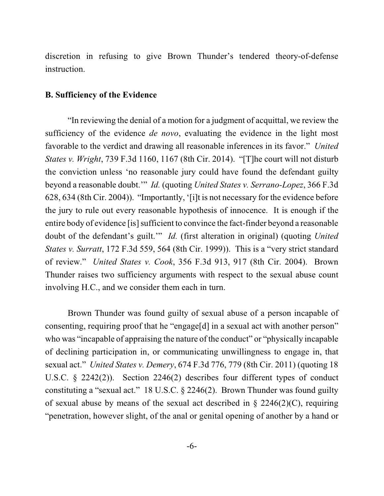discretion in refusing to give Brown Thunder's tendered theory-of-defense instruction.

#### **B. Sufficiency of the Evidence**

"In reviewing the denial of a motion for a judgment of acquittal, we review the sufficiency of the evidence *de novo*, evaluating the evidence in the light most favorable to the verdict and drawing all reasonable inferences in its favor." *United States v. Wright*, 739 F.3d 1160, 1167 (8th Cir. 2014). "[T]he court will not disturb the conviction unless 'no reasonable jury could have found the defendant guilty beyond a reasonable doubt.'" *Id.* (quoting *United States v. Serrano-Lopez*, 366 F.3d 628, 634 (8th Cir. 2004)). "Importantly, '[i]t is not necessary for the evidence before the jury to rule out every reasonable hypothesis of innocence. It is enough if the entire body of evidence [is] sufficient to convince the fact-finder beyond a reasonable doubt of the defendant's guilt.'" *Id.* (first alteration in original) (quoting *United States v. Surratt*, 172 F.3d 559, 564 (8th Cir. 1999)). This is a "very strict standard of review." *United States v. Cook*, 356 F.3d 913, 917 (8th Cir. 2004). Brown Thunder raises two sufficiency arguments with respect to the sexual abuse count involving H.C., and we consider them each in turn.

Brown Thunder was found guilty of sexual abuse of a person incapable of consenting, requiring proof that he "engage[d] in a sexual act with another person" who was "incapable of appraising the nature of the conduct" or "physically incapable of declining participation in, or communicating unwillingness to engage in, that sexual act." *United States v. Demery*, 674 F.3d 776, 779 (8th Cir. 2011) (quoting 18 U.S.C. § 2242(2)). Section 2246(2) describes four different types of conduct constituting a "sexual act." 18 U.S.C. § 2246(2). Brown Thunder was found guilty of sexual abuse by means of the sexual act described in  $\S$  2246(2)(C), requiring "penetration, however slight, of the anal or genital opening of another by a hand or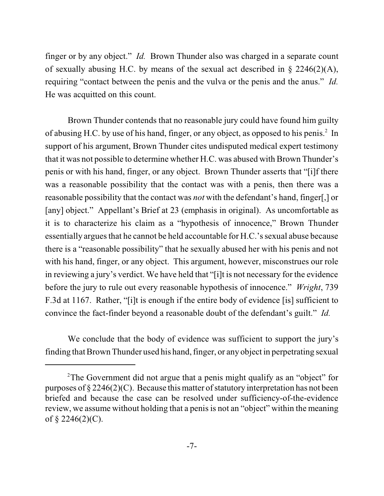finger or by any object." *Id.* Brown Thunder also was charged in a separate count of sexually abusing H.C. by means of the sexual act described in  $\S$  2246(2)(A), requiring "contact between the penis and the vulva or the penis and the anus." *Id.*  He was acquitted on this count.

Brown Thunder contends that no reasonable jury could have found him guilty of abusing H.C. by use of his hand, finger, or any object, as opposed to his penis.<sup>2</sup> In support of his argument, Brown Thunder cites undisputed medical expert testimony that it was not possible to determine whether H.C. was abused with Brown Thunder's penis or with his hand, finger, or any object. Brown Thunder asserts that "[i]f there was a reasonable possibility that the contact was with a penis, then there was a reasonable possibility that the contact was *not* with the defendant's hand, finger[,] or [any] object." Appellant's Brief at 23 (emphasis in original). As uncomfortable as it is to characterize his claim as a "hypothesis of innocence," Brown Thunder essentially argues that he cannot be held accountable for H.C.'s sexual abuse because there is a "reasonable possibility" that he sexually abused her with his penis and not with his hand, finger, or any object. This argument, however, misconstrues our role in reviewing a jury's verdict. We have held that "[i]t is not necessary for the evidence before the jury to rule out every reasonable hypothesis of innocence." *Wright*, 739 F.3d at 1167. Rather, "[i]t is enough if the entire body of evidence [is] sufficient to convince the fact-finder beyond a reasonable doubt of the defendant's guilt." *Id.*

We conclude that the body of evidence was sufficient to support the jury's finding that Brown Thunder used his hand, finger, or any object in perpetrating sexual

<sup>&</sup>lt;sup>2</sup>The Government did not argue that a penis might qualify as an "object" for purposes of  $\S 2246(2)(C)$ . Because this matter of statutory interpretation has not been briefed and because the case can be resolved under sufficiency-of-the-evidence review, we assume without holding that a penis is not an "object" within the meaning of  $\S 2246(2)(C)$ .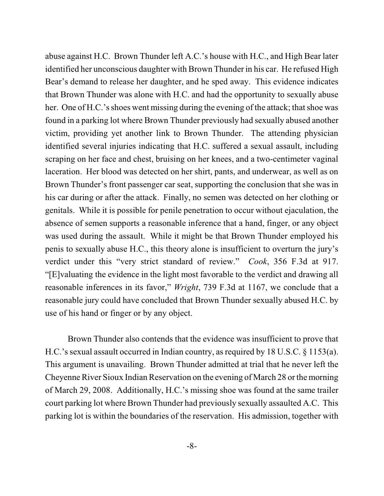abuse against H.C. Brown Thunder left A.C.'s house with H.C., and High Bear later identified her unconscious daughter with Brown Thunder in his car. He refused High Bear's demand to release her daughter, and he sped away. This evidence indicates that Brown Thunder was alone with H.C. and had the opportunity to sexually abuse her. One of H.C.'s shoes went missing during the evening of the attack; that shoe was found in a parking lot where Brown Thunder previously had sexually abused another victim, providing yet another link to Brown Thunder. The attending physician identified several injuries indicating that H.C. suffered a sexual assault, including scraping on her face and chest, bruising on her knees, and a two-centimeter vaginal laceration. Her blood was detected on her shirt, pants, and underwear, as well as on Brown Thunder's front passenger car seat, supporting the conclusion that she was in his car during or after the attack. Finally, no semen was detected on her clothing or genitals. While it is possible for penile penetration to occur without ejaculation, the absence of semen supports a reasonable inference that a hand, finger, or any object was used during the assault. While it might be that Brown Thunder employed his penis to sexually abuse H.C., this theory alone is insufficient to overturn the jury's verdict under this "very strict standard of review." *Cook*, 356 F.3d at 917. "[E]valuating the evidence in the light most favorable to the verdict and drawing all reasonable inferences in its favor," *Wright*, 739 F.3d at 1167, we conclude that a reasonable jury could have concluded that Brown Thunder sexually abused H.C. by use of his hand or finger or by any object.

Brown Thunder also contends that the evidence was insufficient to prove that H.C.'s sexual assault occurred in Indian country, as required by 18 U.S.C. § 1153(a). This argument is unavailing. Brown Thunder admitted at trial that he never left the Cheyenne River Sioux Indian Reservation on the evening of March 28 or the morning of March 29, 2008. Additionally, H.C.'s missing shoe was found at the same trailer court parking lot where Brown Thunder had previously sexually assaulted A.C. This parking lot is within the boundaries of the reservation. His admission, together with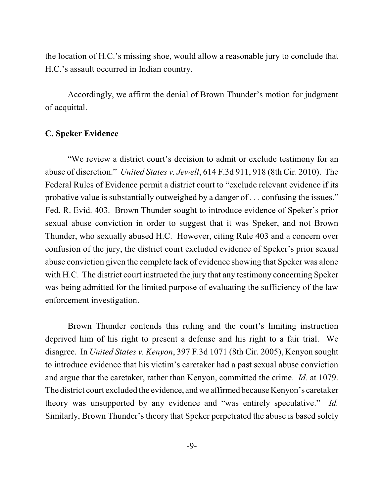the location of H.C.'s missing shoe, would allow a reasonable jury to conclude that H.C.'s assault occurred in Indian country.

Accordingly, we affirm the denial of Brown Thunder's motion for judgment of acquittal.

#### **C. Speker Evidence**

"We review a district court's decision to admit or exclude testimony for an abuse of discretion." *United States v. Jewell*, 614 F.3d 911, 918 (8th Cir. 2010). The Federal Rules of Evidence permit a district court to "exclude relevant evidence if its probative value is substantially outweighed by a danger of . . . confusing the issues." Fed. R. Evid. 403. Brown Thunder sought to introduce evidence of Speker's prior sexual abuse conviction in order to suggest that it was Speker, and not Brown Thunder, who sexually abused H.C. However, citing Rule 403 and a concern over confusion of the jury, the district court excluded evidence of Speker's prior sexual abuse conviction given the complete lack of evidence showing that Speker was alone with H.C. The district court instructed the jury that any testimony concerning Speker was being admitted for the limited purpose of evaluating the sufficiency of the law enforcement investigation.

Brown Thunder contends this ruling and the court's limiting instruction deprived him of his right to present a defense and his right to a fair trial. We disagree. In *United States v. Kenyon*, 397 F.3d 1071 (8th Cir. 2005), Kenyon sought to introduce evidence that his victim's caretaker had a past sexual abuse conviction and argue that the caretaker, rather than Kenyon, committed the crime. *Id.* at 1079. The district court excluded the evidence, and we affirmed because Kenyon's caretaker theory was unsupported by any evidence and "was entirely speculative." *Id.* Similarly, Brown Thunder's theory that Speker perpetrated the abuse is based solely